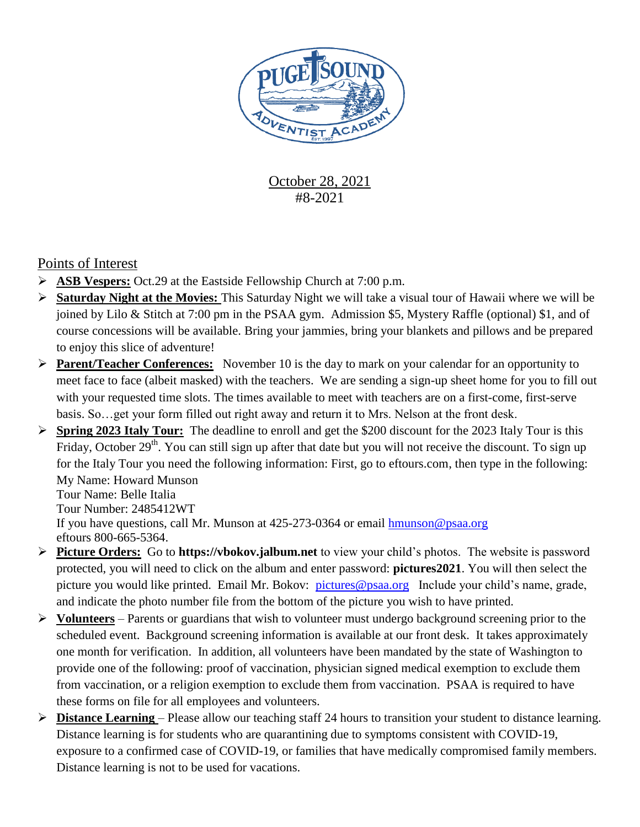

## October 28, 2021 #8-2021

### Points of Interest

- **ASB Vespers:** Oct.29 at the Eastside Fellowship Church at 7:00 p.m.
- **Saturday Night at the Movies:** This Saturday Night we will take a visual tour of Hawaii where we will be joined by Lilo & Stitch at 7:00 pm in the PSAA gym. Admission \$5, Mystery Raffle (optional) \$1, and of course concessions will be available. Bring your jammies, bring your blankets and pillows and be prepared to enjoy this slice of adventure!
- **Parent/Teacher Conferences:** November 10 is the day to mark on your calendar for an opportunity to meet face to face (albeit masked) with the teachers. We are sending a sign-up sheet home for you to fill out with your requested time slots. The times available to meet with teachers are on a first-come, first-serve basis. So…get your form filled out right away and return it to Mrs. Nelson at the front desk.
- **Spring 2023 Italy Tour:** The deadline to enroll and get the \$200 discount for the 2023 Italy Tour is this Friday, October 29<sup>th</sup>. You can still sign up after that date but you will not receive the discount. To sign up for the Italy Tour you need the following information: First, go to eftours.com, then type in the following: My Name: Howard Munson Tour Name: Belle Italia

Tour Number: 2485412WT If you have questions, call Mr. Munson at 425-273-0364 or email [hmunson@psaa.org](mailto:hmunson@psaa.org)  eftours 800-665-5364.

- **Picture Orders:** Go to **https://vbokov.jalbum.net** to view your child's photos. The website is password protected, you will need to click on the album and enter password: **pictures2021**. You will then select the picture you would like printed. Email Mr. Bokov: [pictures@psaa.org](mailto:vbokov@psaa.org) Include your child's name, grade, and indicate the photo number file from the bottom of the picture you wish to have printed.
- **Volunteers** Parents or guardians that wish to volunteer must undergo background screening prior to the scheduled event. Background screening information is available at our front desk. It takes approximately one month for verification. In addition, all volunteers have been mandated by the state of Washington to provide one of the following: proof of vaccination, physician signed medical exemption to exclude them from vaccination, or a religion exemption to exclude them from vaccination. PSAA is required to have these forms on file for all employees and volunteers.
- **Distance Learning**  Please allow our teaching staff 24 hours to transition your student to distance learning. Distance learning is for students who are quarantining due to symptoms consistent with COVID-19, exposure to a confirmed case of COVID-19, or families that have medically compromised family members. Distance learning is not to be used for vacations.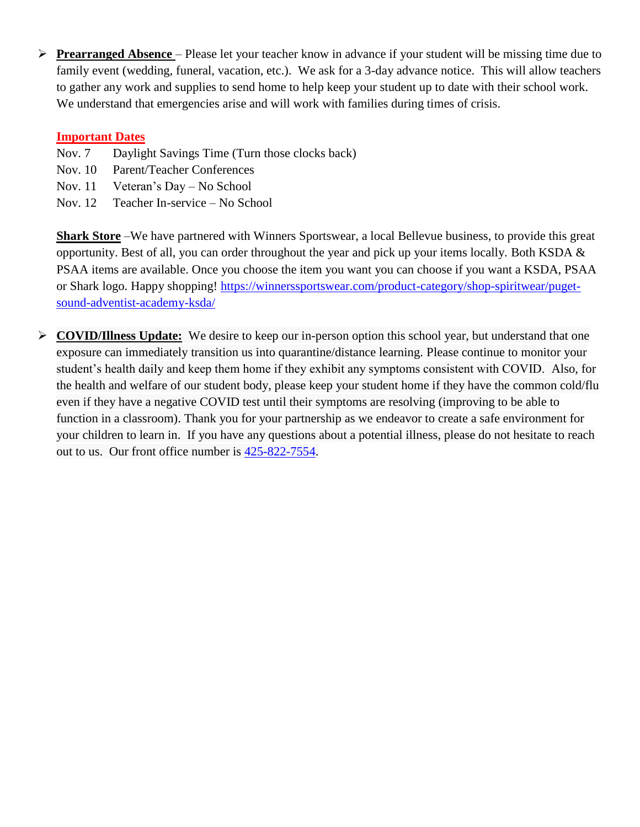**Prearranged Absence** – Please let your teacher know in advance if your student will be missing time due to family event (wedding, funeral, vacation, etc.). We ask for a 3-day advance notice. This will allow teachers to gather any work and supplies to send home to help keep your student up to date with their school work. We understand that emergencies arise and will work with families during times of crisis.

#### **Important Dates**

- Nov. 7 Daylight Savings Time (Turn those clocks back)
- Nov. 10 Parent/Teacher Conferences
- Nov. 11 Veteran's Day No School
- Nov. 12 Teacher In-service No School

**Shark Store** –We have partnered with Winners Sportswear, a local Bellevue business, to provide this great opportunity. Best of all, you can order throughout the year and pick up your items locally. Both KSDA & PSAA items are available. Once you choose the item you want you can choose if you want a KSDA, PSAA or Shark logo. Happy shopping! [https://winnerssportswear.com/product-category/shop-spiritwear/puget](https://winnerssportswear.com/product-category/shop-spiritwear/puget-sound-adventist-academy-ksda/)[sound-adventist-academy-ksda/](https://winnerssportswear.com/product-category/shop-spiritwear/puget-sound-adventist-academy-ksda/)

 **COVID/Illness Update:** We desire to keep our in-person option this school year, but understand that one exposure can immediately transition us into quarantine/distance learning. Please continue to monitor your student's health daily and keep them home if they exhibit any symptoms consistent with COVID. Also, for the health and welfare of our student body, please keep your student home if they have the common cold/flu even if they have a negative COVID test until their symptoms are resolving (improving to be able to function in a classroom). Thank you for your partnership as we endeavor to create a safe environment for your children to learn in. If you have any questions about a potential illness, please do not hesitate to reach out to us. Our front office number is [425-822-7554.](tel:425-822-7554)